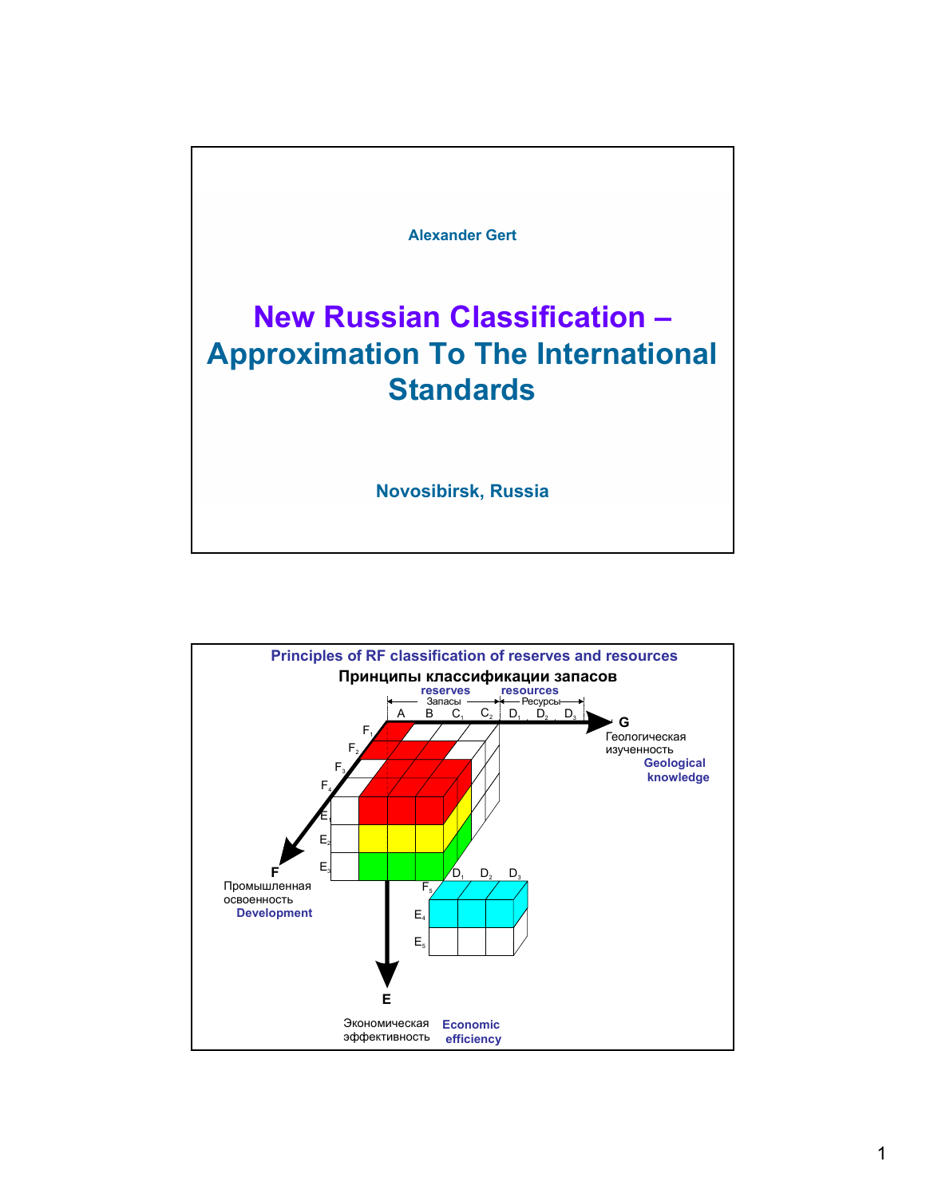

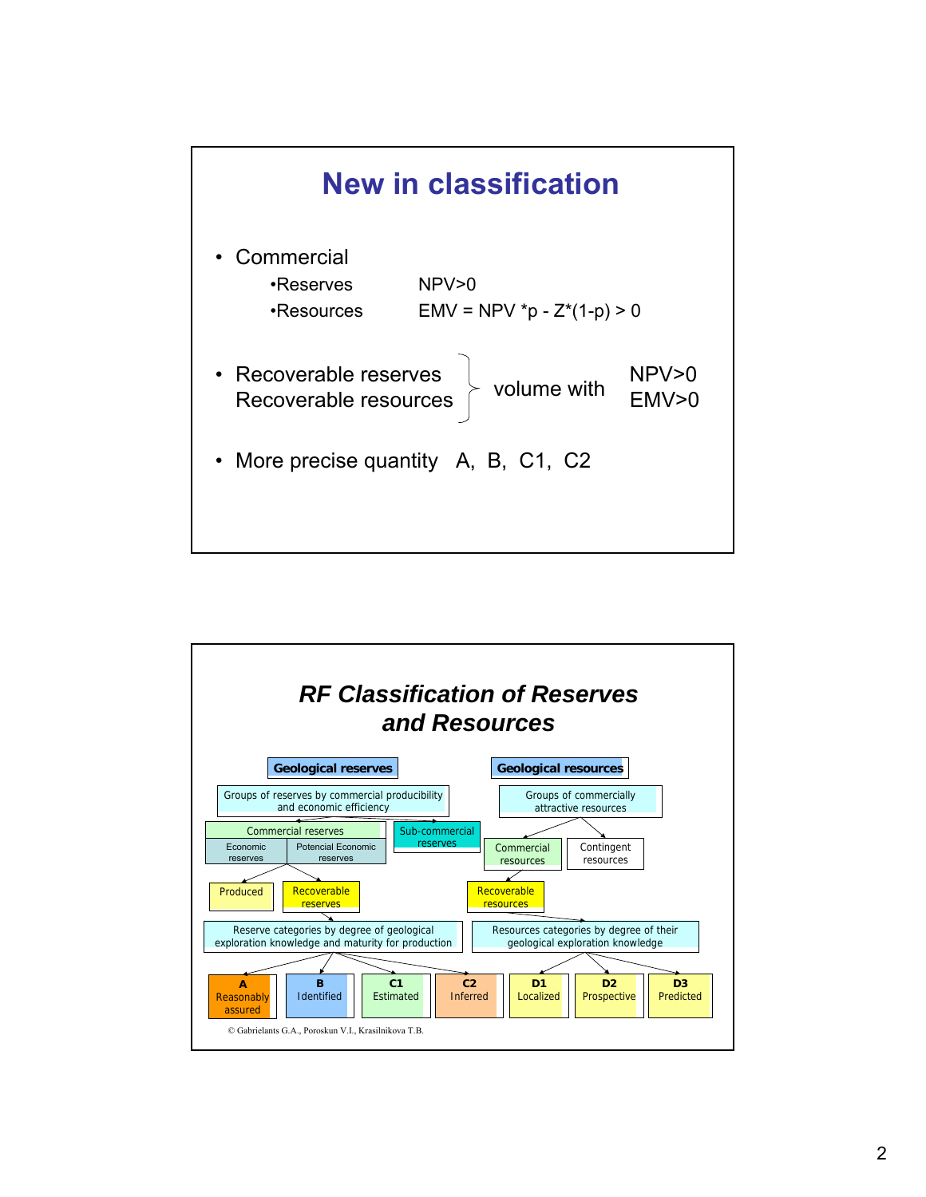

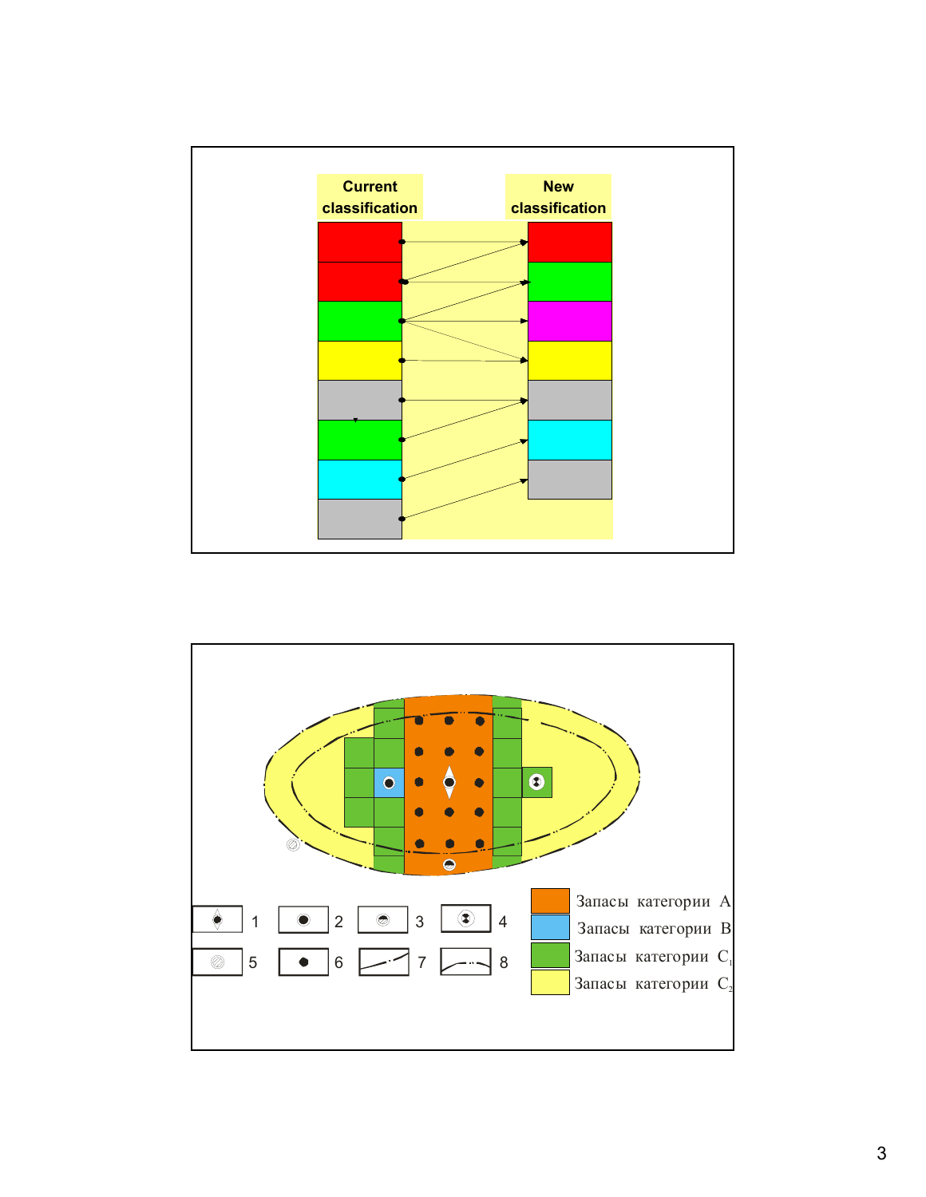

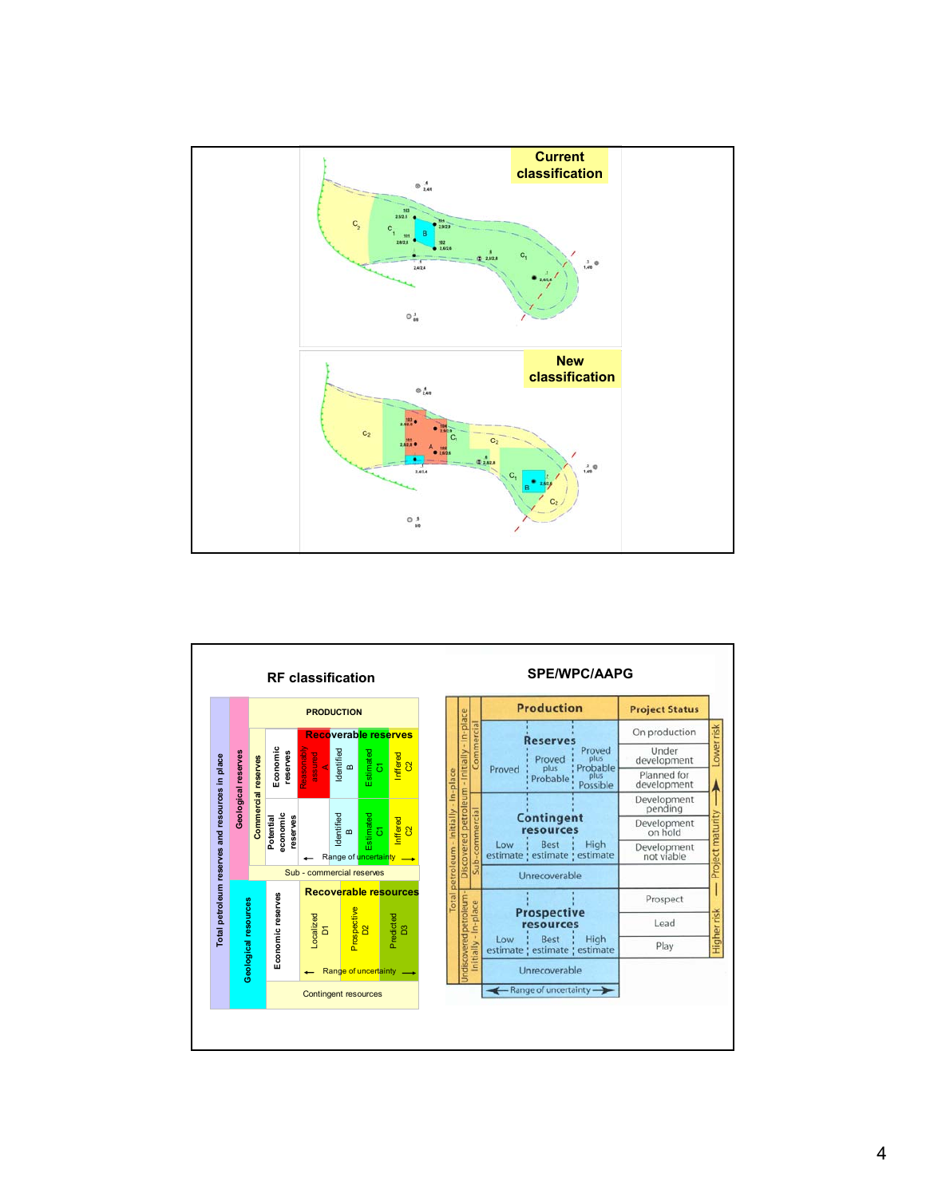

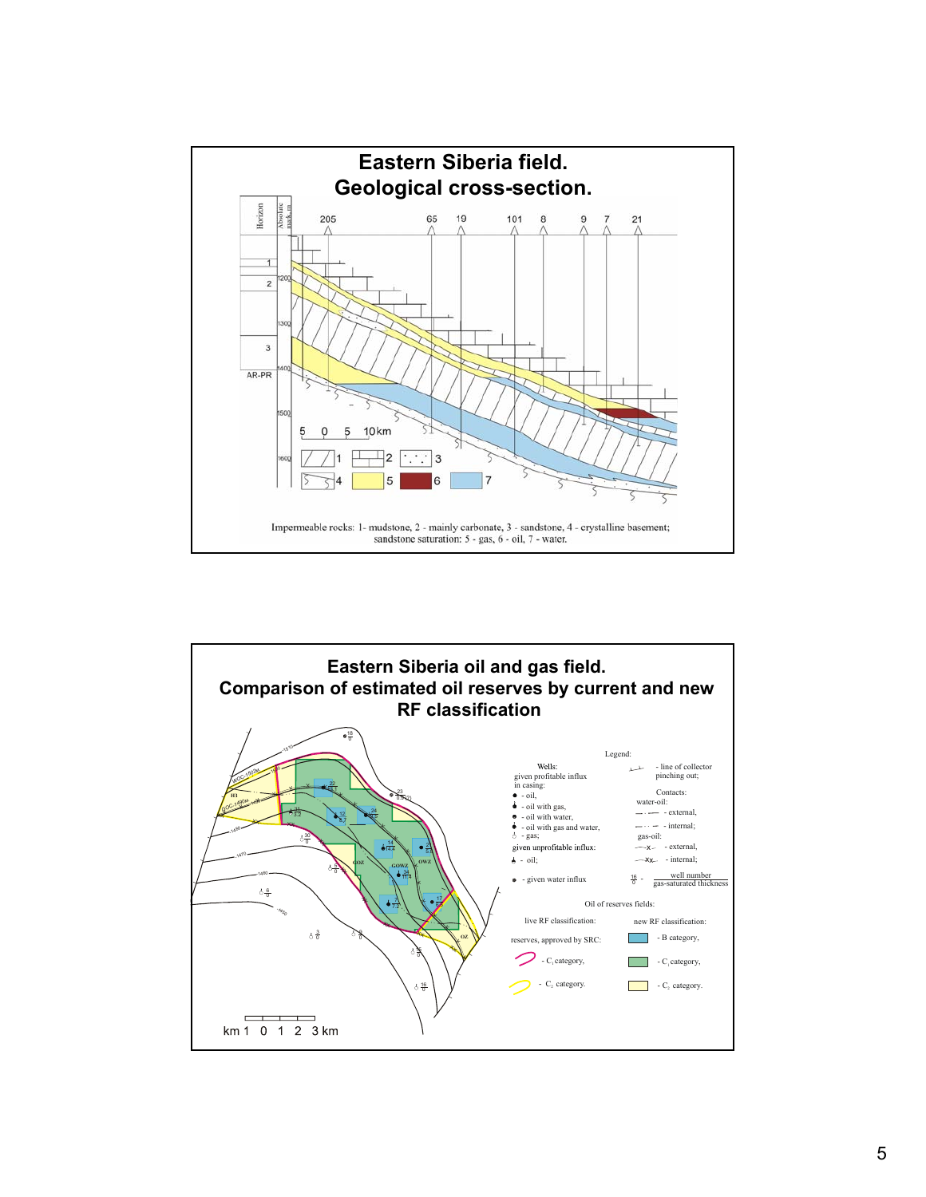

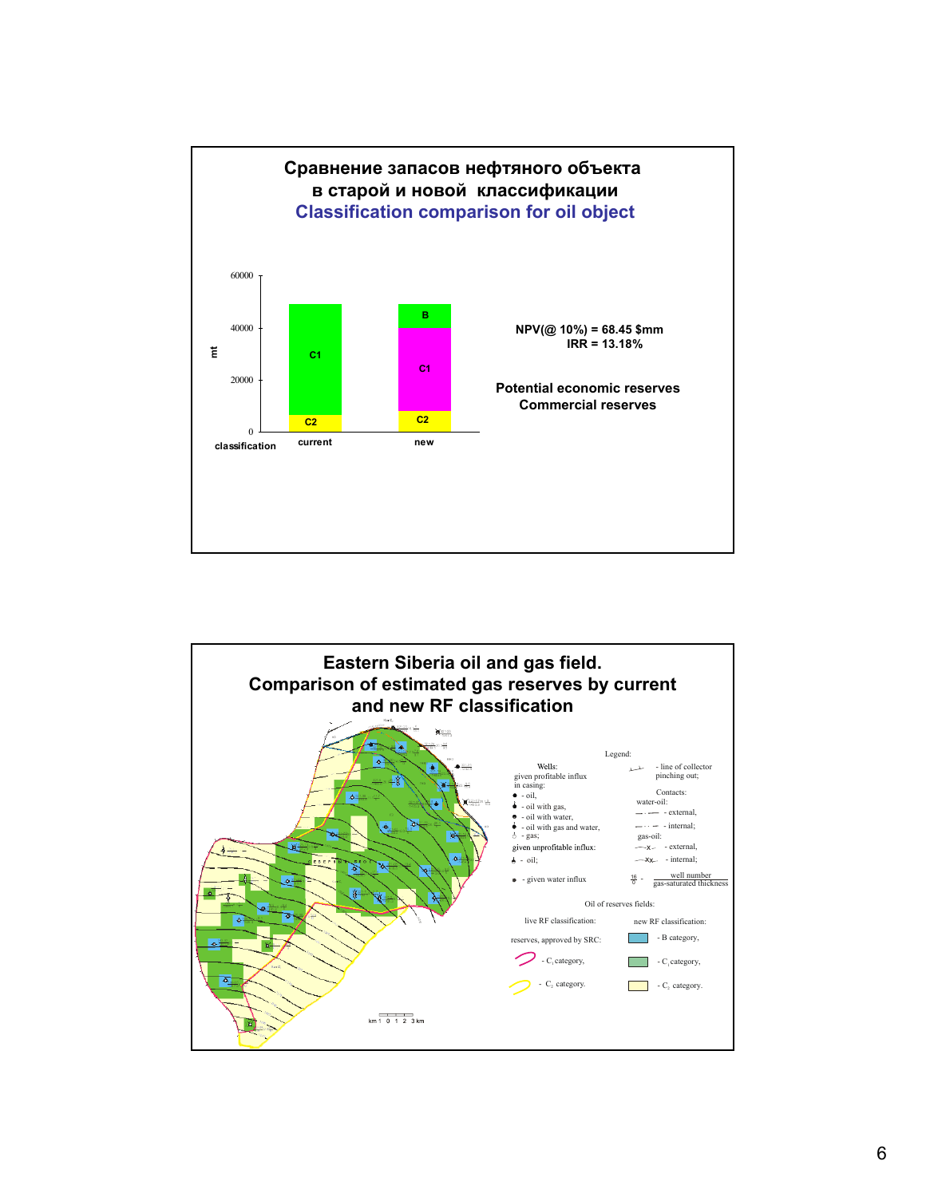

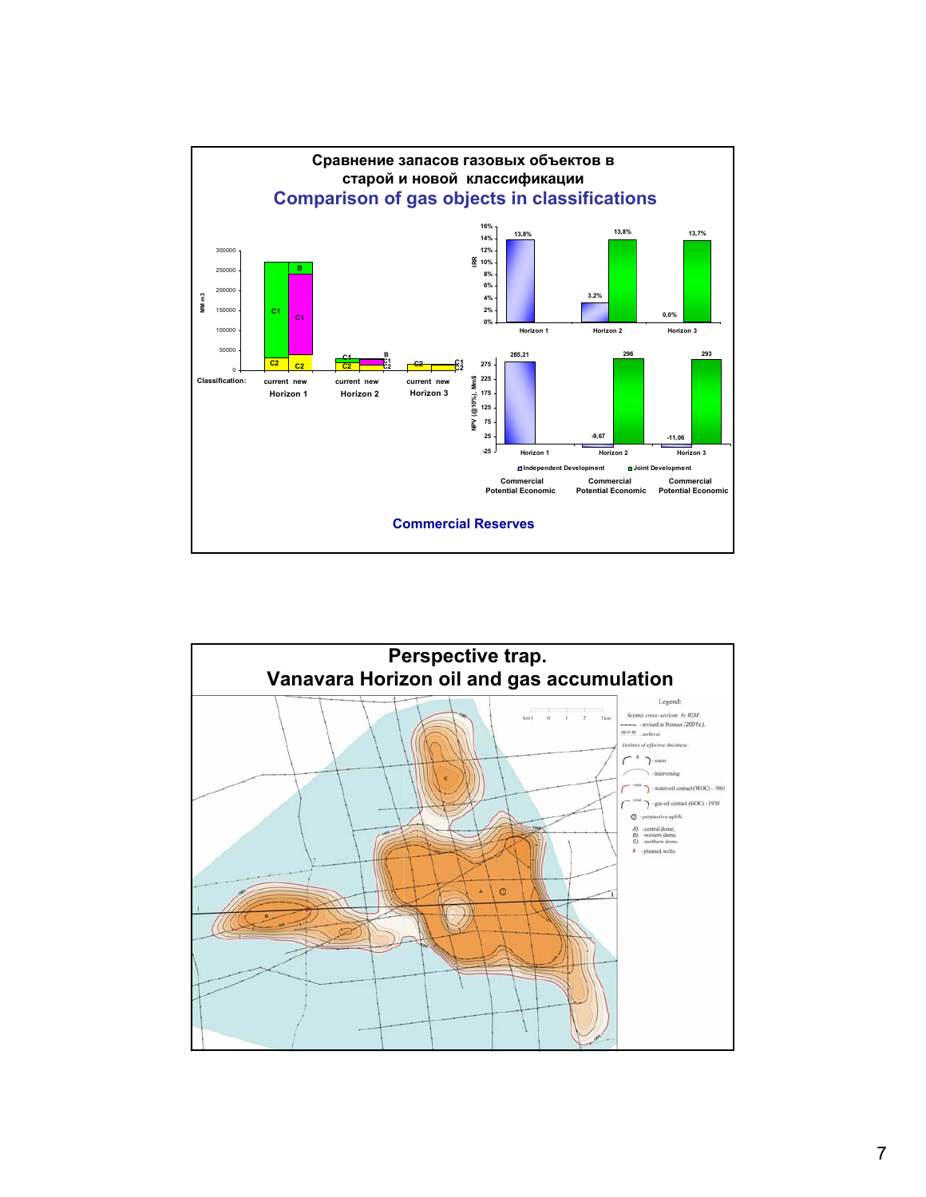

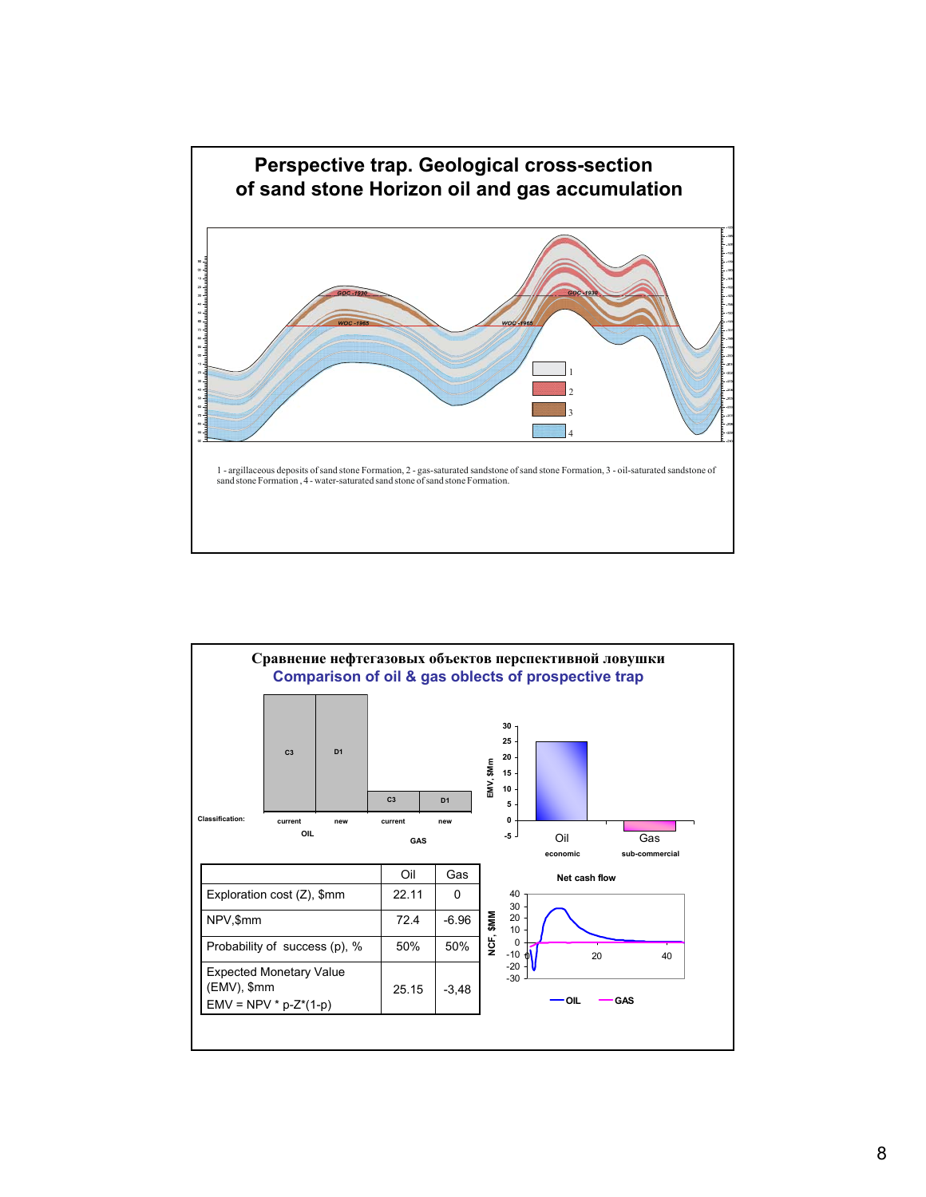